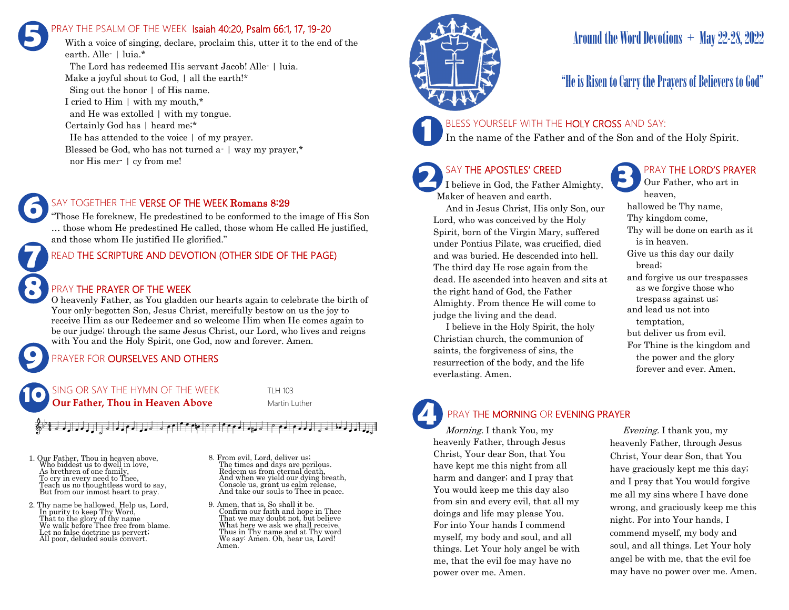### PRAY THE PSALM OF THE WEEK Isaiah 40:20, Psalm 66:1, 17, 19-20 **5**

With a voice of singing, declare, proclaim this, utter it to the end of the earth. Alle- | luia.\* The Lord has redeemed His servant Jacob! Alle- | luia.

Make a joyful shout to God, | all the earth!\* Sing out the honor | of His name. I cried to Him | with my mouth,\* and He was extolled | with my tongue. Certainly God has | heard me;\* He has attended to the voice | of my prayer. Blessed be God, who has not turned a- | way my prayer,\* nor His mer- | cy from me!



"Those He foreknew, He predestined to be conformed to the image of His Son … those whom He predestined He called, those whom He called He justified, and those whom He justified He glorified."

#### READ THE SCRIPTURE AND DEVOTION (OTHER SIDE OF THE PAGE)

#### PRAY THE PRAYER OF THE WEEK

O heavenly Father, as You gladden our hearts again to celebrate the birth of Your only-begotten Son, Jesus Christ, mercifully bestow on us the joy to receive Him as our Redeemer and so welcome Him when He comes again to be our judge; through the same Jesus Christ, our Lord, who lives and reigns with You and the Holy Spirit, one God, now and forever. Amen.

### PRAYER FOR **OURSELVES AND OTHERS**



#### $\frac{2}{36}$ <sup>1,</sup>  $\frac{2}{3}$  d adjaced declaration of  $\frac{2}{3}$  of  $\frac{1}{3}$  of  $\frac{1}{3}$  of  $\frac{1}{3}$  of  $\frac{1}{3}$  of  $\frac{1}{3}$  of  $\frac{1}{3}$  of  $\frac{1}{3}$  of  $\frac{1}{3}$  of  $\frac{1}{3}$  of  $\frac{1}{3}$  of  $\frac{1}{3}$  of  $\frac{1}{3}$  of  $\$  $\downarrow$   $\uparrow$   $\uparrow$   $\uparrow$   $\uparrow$   $\downarrow$   $\downarrow$   $\downarrow$   $\downarrow$   $\downarrow$   $\downarrow$   $\downarrow$   $\downarrow$   $\downarrow$

1. Our Father, Thou in heaven above, Who biddest us to dwell in love, As brethren of one family, To cry in every need to Thee, Teach us no thoughtless word to say, But from our inmost heart to pray.

**9**

**8**

**7**

**6**

- 2. Thy name be hallowed. Help us, Lord, In purity to keep Thy Word, That to the glory of thy name We walk before Thee free from blame. Let no false doctrine us pervert; All poor, deluded souls convert.
- 8. From evil, Lord, deliver us; The times and days are perilous. Redeem us from eternal death, And when we yield our dying breath, Console us, grant us calm release, And take our souls to Thee in peace.
- 9. Amen, that is, So shall it be. Confirm our faith and hope in Thee That we may doubt not, but believe What here we ask we shall receive. Thus in Thy name and at Thy word We say: Amen. Oh, hear us, Lord! Amen.



## Around the Word Devotions  $+$  May 22-28, 2022

### "He is Risen to Carry the Prayers of Believers to God"

#### BLESS YOURSELF WITH THE HOLY CROSS AND SAY:

In the name of the Father and of the Son and of the Holy Spirit.

### SAY THE APOSTLES' CREED

I believe in God, the Father Almighty, Maker of heaven and earth.

 And in Jesus Christ, His only Son, our Lord, who was conceived by the Holy Spirit, born of the Virgin Mary, suffered under Pontius Pilate, was crucified, died and was buried. He descended into hell. The third day He rose again from the dead. He ascended into heaven and sits at the right hand of God, the Father Almighty. From thence He will come to judge the living and the dead.

 I believe in the Holy Spirit, the holy Christian church, the communion of saints, the forgiveness of sins, the resurrection of the body, and the life everlasting. Amen.

### PRAY THE LORD'S PRAYER

Our Father, who art in heaven, hallowed be Thy name, Thy kingdom come, Thy will be done on earth as it is in heaven. Give us this day our daily bread; and forgive us our trespasses as we forgive those who trespass against us; and lead us not into temptation, but deliver us from evil. For Thine is the kingdom and the power and the glory forever and ever. Amen.

# PRAY THE MORNING OR EVENING PRAYER

Morning. I thank You, my heavenly Father, through Jesus Christ, Your dear Son, that You have kept me this night from all harm and danger; and I pray that You would keep me this day also from sin and every evil, that all my doings and life may please You. For into Your hands I commend myself, my body and soul, and all things. Let Your holy angel be with me, that the evil foe may have no power over me. Amen. **4**

 Evening. I thank you, my heavenly Father, through Jesus Christ, Your dear Son, that You have graciously kept me this day; and I pray that You would forgive me all my sins where I have done wrong, and graciously keep me this night. For into Your hands, I commend myself, my body and soul, and all things. Let Your holy angel be with me, that the evil foe may have no power over me. Amen.